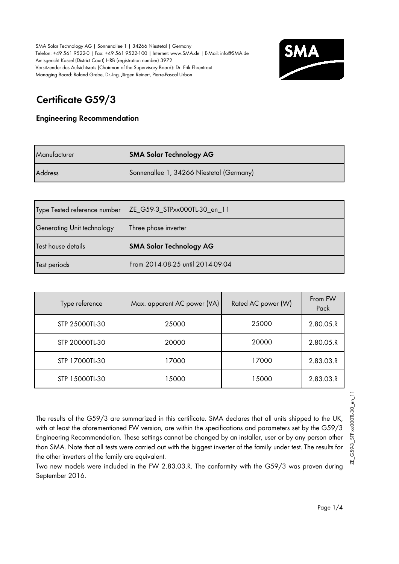

# **Certificate G59/3**

#### **Engineering Recommendation**

| Manufacturer   | <b>SMA Solar Technology AG</b>           |
|----------------|------------------------------------------|
| <b>Address</b> | Sonnenallee 1, 34266 Niestetal (Germany) |

| Type Tested reference number | ZE_G59-3_STPxx000TL-30_en_11   |
|------------------------------|--------------------------------|
| Generating Unit technology   | Three phase inverter           |
|                              |                                |
| Test house details           | <b>SMA Solar Technology AG</b> |

| Type reference | Max. apparent AC power (VA) | Rated AC power (W) |           |
|----------------|-----------------------------|--------------------|-----------|
| STP 25000TL-30 | 25000                       | 25000              | 2.80.05.R |
| STP 20000TL-30 | 20000                       | 20000              | 2.80.05.R |
| STP 17000TL-30 | 17000                       | 17000              | 2.83.03.R |
| STP 15000TL-30 | 15000                       | 15000              | 2.83.03.R |

The results of the G59/3 are summarized in this certificate. SMA declares that all units shipped to the UK, with at least the aforementioned FW version, are within the specifications and parameters set by the G59/3 Engineering Recommendation. These settings cannot be changed by an installer, user or by any person other than SMA. Note that all tests were carried out with the biggest inverter of the family under test. The results for the other inverters of the family are equivalent.

Two new models were included in the FW 2.83.03.R. The conformity with the G59/3 was proven during September 2016.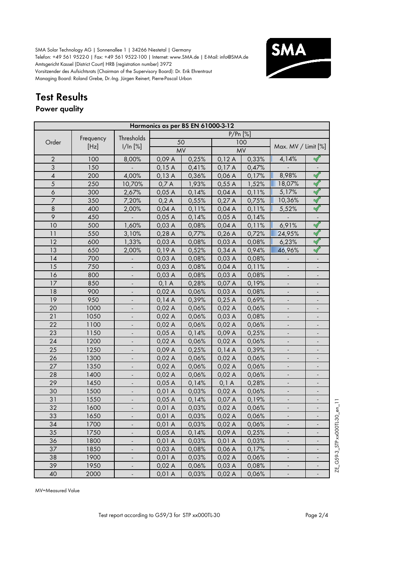

# **Test Results**

## **Power quality**

|                  |           |                              | Harmonics as per BS EN 61000-3-12 |           |            |       |                              |                                   |
|------------------|-----------|------------------------------|-----------------------------------|-----------|------------|-------|------------------------------|-----------------------------------|
|                  |           | Thresholds                   |                                   |           | $P/Pr$ [%] |       |                              |                                   |
| Order            | Frequency |                              |                                   | 50        |            | 100   | Max. MV / Limit [%]          |                                   |
|                  | [Hz]      | 1/ln [%]                     |                                   | <b>MV</b> | <b>MV</b>  |       |                              |                                   |
| $\overline{2}$   | 100       | 8,00%                        | 0,09A                             | 0,25%     | 0,12A      | 0,33% | 4,14%                        |                                   |
| 3                | 150       |                              | 0,15A                             | 0,41%     | 0,17A      | 0,47% |                              |                                   |
| $\pmb{4}$        | 200       | 4,00%                        | 0,13A                             | 0,36%     | 0,06A      | 0,17% | 8,98%                        | $\mathbf{N}$                      |
| 5                | 250       | 10,70%                       | 0,7A                              | 1,93%     | 0,55A      | 1,52% | 18,07%                       | $\prec$                           |
| $\boldsymbol{6}$ | 300       | 2,67%                        | 0,05A                             | 0,14%     | 0,04A      | 0,11% | 5,17%                        | $\blacktriangleleft$              |
| $\overline{7}$   | 350       | 7,20%                        | 0,2A                              | 0,55%     | 0,27A      | 0,75% | 10,36%                       | $\blacktriangleleft$              |
| $\,8\,$          | 400       | 2,00%                        | 0,04A                             | 0,11%     | 0,04A      | 0,11% | 5,52%                        | $\blacktriangleleft$              |
| 9                | 450       |                              | 0,05A                             | 0,14%     | 0,05A      | 0,14% |                              | $\overline{\phantom{a}}$          |
| 10               | 500       | 1,60%                        | 0,03A                             | 0,08%     | 0,04A      | 0,11% | 6,91%                        | $\blacktriangleleft$              |
| 11               | 550       | 3,10%                        | 0,28A                             | 0,77%     | 0,26A      | 0,72% | 24,95%                       | $\blacktriangleleft$              |
| 12               | 600       | 1,33%                        | 0,03A                             | 0,08%     | 0,03A      | 0,08% | 6,23%                        | $\blacktriangleleft$              |
| 13               | 650       | 2,00%                        | 0,19A                             | 0,52%     | 0,34A      | 0,94% | 46,96%                       | $\mathscr A$                      |
| 14               | 700       |                              | 0,03A                             | 0,08%     | 0,03A      | 0,08% |                              |                                   |
| 15               | 750       |                              | 0,03A                             | 0,08%     | 0,04A      | 0,11% |                              |                                   |
| 16               | 800       |                              | 0,03A                             | 0,08%     | 0,03A      | 0,08% |                              |                                   |
| 17               | 850       |                              | 0,1 A                             | 0,28%     | 0,07 A     | 0,19% |                              |                                   |
| 18               | 900       |                              | 0,02A                             | 0,06%     | 0,03A      | 0,08% |                              |                                   |
| 19               | 950       |                              | 0,14A                             | 0,39%     | 0,25A      | 0,69% |                              |                                   |
| 20               | 1000      |                              | 0,02A                             | 0,06%     | 0,02A      | 0,06% |                              | $\overline{\phantom{a}}$          |
| 21               | 1050      |                              | 0,02A                             | 0,06%     | 0,03A      | 0,08% |                              |                                   |
| 22               | 1100      |                              | 0,02A                             | 0,06%     | 0,02A      | 0,06% |                              |                                   |
| 23               | 1150      |                              | 0,05A                             | 0,14%     | 0,09A      | 0,25% |                              | $\overline{\phantom{m}}$          |
| 24               | 1200      |                              | 0,02A                             | 0,06%     | 0,02A      | 0,06% | $\qquad \qquad \blacksquare$ | ÷                                 |
| 25               | 1250      | $\overline{\phantom{a}}$     | 0,09A                             | 0,25%     | 0,14A      | 0,39% | $\overline{\phantom{a}}$     | $\overline{\phantom{a}}$          |
| 26               | 1300      | $\overline{\phantom{a}}$     | 0,02A                             | 0,06%     | 0,02A      | 0,06% | $\blacksquare$               | $\overline{\phantom{a}}$          |
| 27               | 1350      | $\overline{\phantom{a}}$     | 0,02A                             | 0,06%     | 0,02A      | 0,06% | $\overline{\phantom{a}}$     | $\overline{\phantom{a}}$          |
| 28               | 1400      | $\overline{\phantom{a}}$     | 0,02A                             | 0,06%     | 0,02A      | 0,06% | $\blacksquare$               | $\blacksquare$                    |
| 29               | 1450      | $\overline{\phantom{a}}$     | 0,05A                             | 0,14%     | $0,1$ A    | 0,28% | $\Box$                       | $\frac{1}{2}$                     |
| 30               | 1500      |                              | 0,01A                             | 0,03%     | 0,02A      | 0,06% |                              |                                   |
| 31               | 1550      |                              | 0,05A                             | 0,14%     | 0,07A      | 0,19% |                              |                                   |
| 32               | 1600      |                              | 0,01 A                            | 0,03%     | 0,02A      | 0,06% |                              | $rac{11}{2}$                      |
| 33               | 1650      |                              | 0,01 A                            | 0,03%     | 0,02A      | 0,06% |                              | 30 <sub>2</sub>                   |
| 34               | 1700      |                              | 0,01A                             | 0,03%     | 0,02A      | 0,06% |                              |                                   |
| 35               | 1750      |                              | 0,05A                             | 0,14%     | 0,09A      | 0,25% |                              | STP xxOOOTL                       |
| 36               | 1800      |                              | 0,01A                             | 0,03%     | 0,01A      | 0,03% |                              |                                   |
| 37               | 1850      | $\overline{\phantom{a}}$     | 0,03A                             | 0,08%     | 0,06A      | 0,17% | $\overline{\phantom{a}}$     | $\overline{\phantom{a}}$          |
| 38               | 1900      |                              | 0,01A                             | 0,03%     | 0,02A      | 0,06% | $\overline{\phantom{a}}$     | G59-3<br>$\overline{\phantom{m}}$ |
| 39               | 1950      | $\qquad \qquad \blacksquare$ | 0,02A                             | 0,06%     | 0,03A      | 0,08% | $\overline{\phantom{a}}$     | E                                 |
| 40               | 2000      | $\overline{\phantom{a}}$     | 0,01 A                            | 0,03%     | 0,02A      | 0,06% | ٥                            | ÷                                 |

MV=Measured Value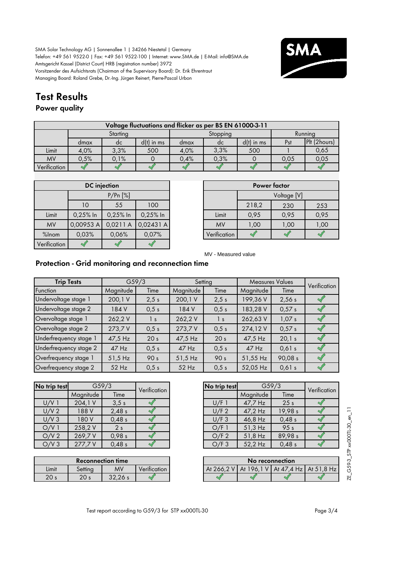

## **Test Results**

### **Power quality**

|              | Voltage fluctuations and flicker as per BS EN 61000-3-11 |          |              |          |      |              |         |              |  |  |
|--------------|----------------------------------------------------------|----------|--------------|----------|------|--------------|---------|--------------|--|--|
|              |                                                          | Starting |              | Stopping |      |              | Running |              |  |  |
|              | dmax                                                     | dc       | $d(t)$ in ms | dmax     | dc   | $d(t)$ in ms | Pst     | Plt (2hours) |  |  |
| Limit        | 4.0%                                                     | 3.3%     | 500          | 4,0%     | 3.3% | 500          |         | 0,65         |  |  |
| <b>MV</b>    | 0.5%                                                     | 0.1%     |              | 0.4%     | 0.3% |              | 0.05    | 0,05         |  |  |
| Verification |                                                          |          |              |          |      |              |         |              |  |  |

|              |            | <b>DC</b> injection |            |              |       | Power factor |      |  |
|--------------|------------|---------------------|------------|--------------|-------|--------------|------|--|
|              |            | P/Pr[%]             |            |              |       | Voltage [V]  |      |  |
|              | 10         | 55                  | 100        |              | 218,2 | 230          | 253  |  |
| Limit        | $0,25%$ In | $0,25%$ In          | $0,25%$ In | Limit        | 0,95  | 0,95         | 0,95 |  |
| <b>MV</b>    | 0,00953 A  | 0,0211A             | 0,02431A   | <b>MV</b>    | 1,00  | 1,00         | 1,00 |  |
| %Inom        | 0,03%      | 0.06%               | 0,07%      | Verification |       |              |      |  |
| Verification |            |                     |            |              |       |              |      |  |

|       | <b>DC</b> injection |            |           |  |              |             | Power factor |      |
|-------|---------------------|------------|-----------|--|--------------|-------------|--------------|------|
|       |                     | P/Pr[%]    |           |  |              | Voltage [V] |              |      |
|       | 10                  | 55         | 100       |  |              | 218,2       | 230          | 253  |
| Limit | $0,25%$ In          | $0,25%$ In | 0,25% In  |  | Limit        | 0,95        | 0,95         | 0,95 |
| MV    | 0,00953 A           | 0,0211A    | 0,02431 A |  | <b>MV</b>    | 1,00        | 1,00         | 1,00 |
| Inom. | 0,03%               | 0,06%      | 0,07%     |  | Verification |             |              |      |

MV - Measured value

### **Protection - Grid monitoring and reconnection time**

| <b>Trip Tests</b>      |           | G <sub>59/3</sub> |           | Setting         |           | <b>Measures Values</b> | Verification |
|------------------------|-----------|-------------------|-----------|-----------------|-----------|------------------------|--------------|
| Function               | Magnitude | Time              | Magnitude | Time            | Magnitude | Time                   |              |
| Undervoltage stage 1   | 200, 1 V  | 2,5 s             | 200,1V    | 2,5 s           | 199,36 V  | 2,56s                  |              |
| Undervoltage stage 2   | 184 V     | 0,5 s             | 184 V     | 0,5 s           | 183,28 V  | 0,57s                  |              |
| Overvoltage stage 1    | 262,2V    | $\vert s \vert$   | 262,2V    | $\vert s \vert$ | 262,63 V  | 1,07s                  |              |
| Overvoltage stage 2    | 273,7V    | 0.5 s             | 273,7V    | 0,5 s           | 274,12V   | 0,57s                  |              |
| Underfrequency stage 1 | 47,5 Hz   | 20 <sub>s</sub>   | 47,5 Hz   | 20 <sub>s</sub> | 47,5 Hz   | 20,1 s                 |              |
| Underfrequency stage 2 | $47$ Hz   | 0,5 s             | $47$ Hz   | 0,5 s           | $47$ Hz   | 0,61 s                 |              |
| Overfrequency stage 1  | $51,5$ Hz | 90 <sub>s</sub>   | $51,5$ Hz | 90 <sub>s</sub> | 51,55 Hz  | 90,08 s                |              |
| Overfrequency stage 2  | 52 Hz     | 0,5 s             | $52$ Hz   | 0,5 s           | 52,05 Hz  | 0,61 s                 |              |

| No trip test     |           | G59/3          | Verification | No trip test |           | G <sub>59/3</sub> |
|------------------|-----------|----------------|--------------|--------------|-----------|-------------------|
|                  | Magnitude | Time           |              |              | Magnitude | Time              |
| $U/V$ 1          | 204,1 V   | 3.5 s          |              | U/F1         | 47,7 Hz   | 25 <sub>s</sub>   |
| U/V <sub>2</sub> | 188 V     | 2,48s          |              | U/F 2        | 47,2 Hz   | 19,98 s           |
| U/V3             | 180 V     | 0,48s          |              | U/F3         | 46,8 Hz   | 0,48 s            |
| O/V1             | 258,2V    | 2 <sub>s</sub> |              | O/F1         | $51,3$ Hz | 95 <sub>s</sub>   |
| O/V <sub>2</sub> | 269,7V    | 0,98 s         |              | O/F 2        | 51,8 Hz   | 89,98 s           |
| O/V3             | 277,7V    | 0,48s          |              | O/F3         | 52,2 Hz   | 0,48 s            |

|                 |           | <b>Reconnection time</b> |                           |            | No reconnection |         |
|-----------------|-----------|--------------------------|---------------------------|------------|-----------------|---------|
| Limit           | settinc   | MV                       | $\cdot$ .<br>Verification | At 266.2 V | 196.<br>At      | At 47.4 |
| 20 <sub>s</sub> | ∩∩<br>ZV. | 22.2                     |                           |            |                 |         |

| No trip test | G <sub>59/3</sub> |                 | Verification |
|--------------|-------------------|-----------------|--------------|
|              | Magnitude         | Time            |              |
| $U/F$ 1      | 47,7 Hz           | 25 <sub>s</sub> |              |
| U/F 2        | 47,2 Hz           | 19,98 s         |              |
| U/F3         | 46,8 Hz           | 0,48s           |              |
| O/F1         | 51,3 Hz           | 95 <sub>s</sub> |              |
| O/F 2        | 51,8 Hz           | 89,98 s         |              |
| O/F3         | 52,2 Hz           | 0,48s           |              |

|       |                 | <b>Reconnection time</b> |                           |            |                                                 | No reconnection |  |
|-------|-----------------|--------------------------|---------------------------|------------|-------------------------------------------------|-----------------|--|
| Limit | settina         | MV                       | $\cdot$ .<br>Verification | At 266.2 V | $\vert$ At 196, I V   At 47, 4 Hz   At 51, 8 Hz |                 |  |
| 20 s  | 20 <sub>s</sub> | 32.26 s                  |                           |            |                                                 |                 |  |

ZE\_G59-3\_STP xx000TL-30\_en\_11 ZE\_G59-3\_STP xx000TL-30\_en\_11